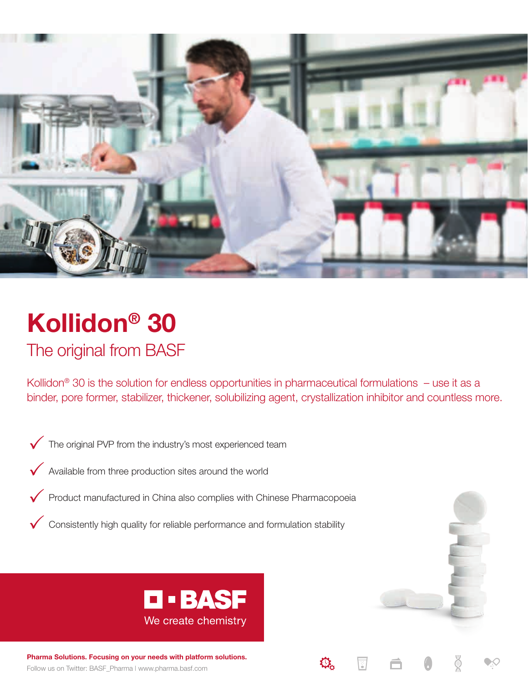

# **Kollidon® 30** The original from BASF

Kollidon<sup>®</sup> 30 is the solution for endless opportunities in pharmaceutical formulations  $-$  use it as a binder, pore former, stabilizer, thickener, solubilizing agent, crystallization inhibitor and countless more.

- $\sqrt{\phantom{a}}$  The original PVP from the industry's most experienced team
- $\sqrt{\phantom{a}}$  Available from three production sites around the world
- Product manufactured in China also complies with Chinese Pharmacopoeia
- $\checkmark$  Consistently high quality for reliable performance and formulation stability



Follow us on Twitter: BASF\_Pharma | www.pharma.basf.com **Pharma Solutions. Focusing on your needs with platform solutions.**